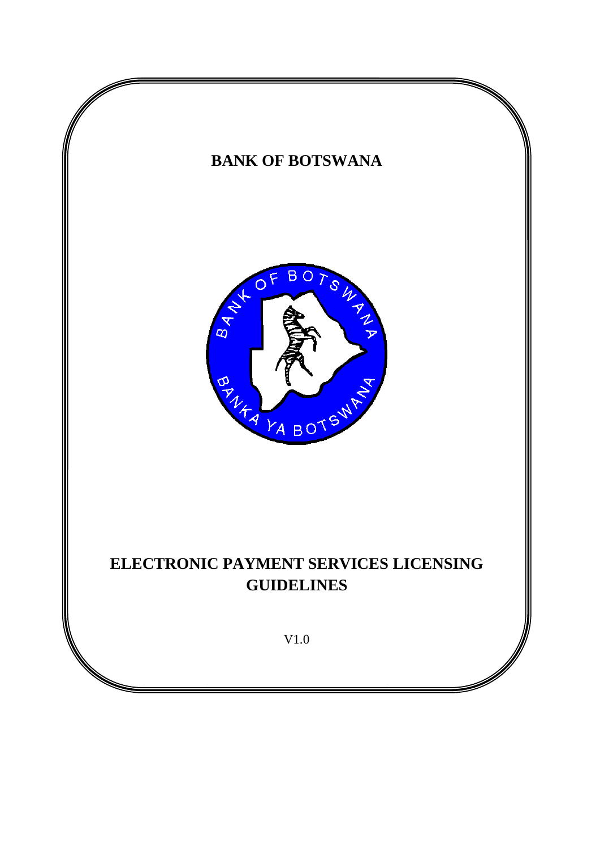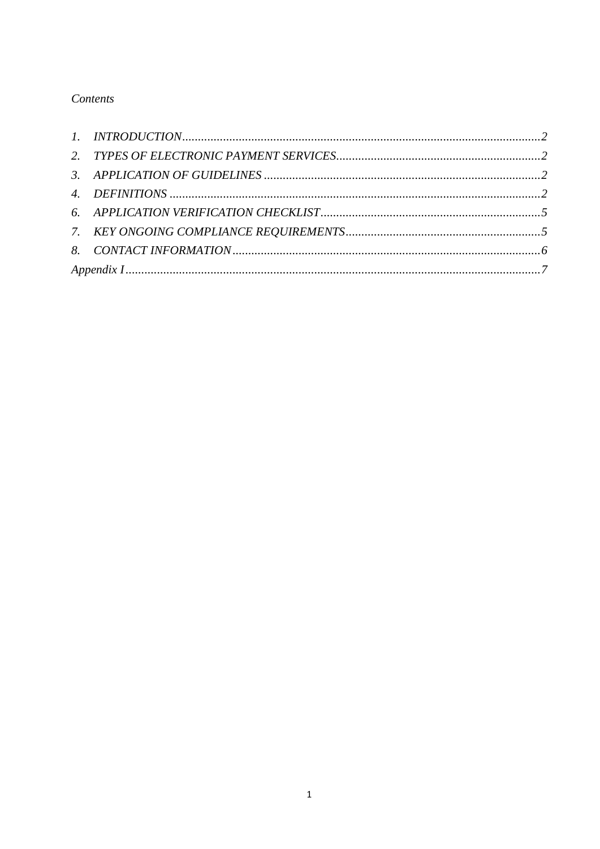# Contents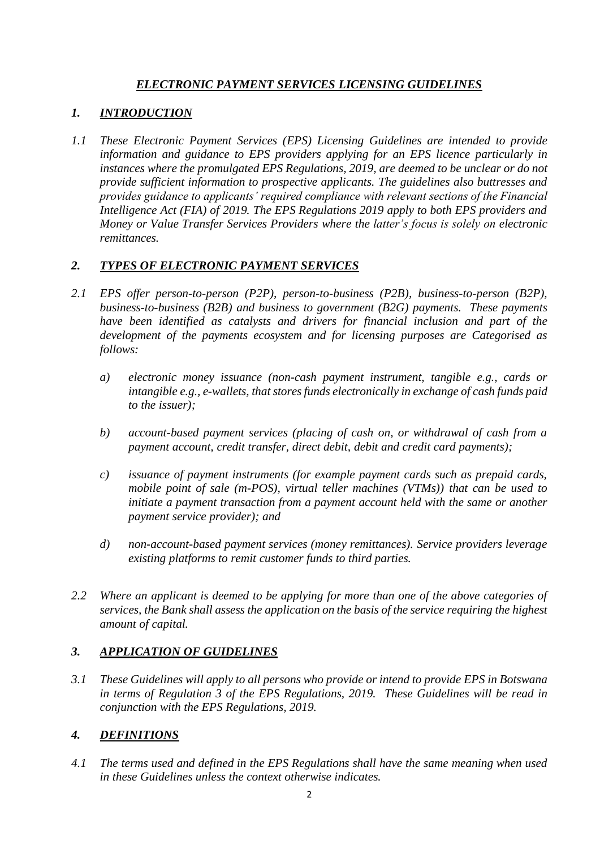# *ELECTRONIC PAYMENT SERVICES LICENSING GUIDELINES*

### <span id="page-2-0"></span>*1. INTRODUCTION*

*1.1 These Electronic Payment Services (EPS) Licensing Guidelines are intended to provide information and guidance to EPS providers applying for an EPS licence particularly in instances where the promulgated EPS Regulations, 2019, are deemed to be unclear or do not provide sufficient information to prospective applicants. The guidelines also buttresses and provides guidance to applicants' required compliance with relevant sections of the Financial Intelligence Act (FIA) of 2019. The EPS Regulations 2019 apply to both EPS providers and Money or Value Transfer Services Providers where the latter's focus is solely on electronic remittances.*

# <span id="page-2-1"></span>*2. TYPES OF ELECTRONIC PAYMENT SERVICES*

- *2.1 EPS offer person-to-person (P2P), person-to-business (P2B), business-to-person (B2P), business-to-business (B2B) and business to government (B2G) payments. These payments have been identified as catalysts and drivers for financial inclusion and part of the development of the payments ecosystem and for licensing purposes are Categorised as follows:* 
	- *a) electronic money issuance (non-cash payment instrument, tangible e.g., cards or intangible e.g., e-wallets, that stores funds electronically in exchange of cash funds paid to the issuer);*
	- *b) account-based payment services (placing of cash on, or withdrawal of cash from a payment account, credit transfer, direct debit, debit and credit card payments);*
	- *c) issuance of payment instruments (for example payment cards such as prepaid cards, mobile point of sale (m-POS), virtual teller machines (VTMs)) that can be used to initiate a payment transaction from a payment account held with the same or another payment service provider); and*
	- *d) non-account-based payment services (money remittances). Service providers leverage existing platforms to remit customer funds to third parties.*
- *2.2 Where an applicant is deemed to be applying for more than one of the above categories of services, the Bank shall assess the application on the basis of the service requiring the highest amount of capital.*

### <span id="page-2-2"></span>*3. APPLICATION OF GUIDELINES*

*3.1 These Guidelines will apply to all persons who provide or intend to provide EPS in Botswana in terms of Regulation 3 of the EPS Regulations, 2019. These Guidelines will be read in conjunction with the EPS Regulations, 2019.*

# <span id="page-2-3"></span>*4. DEFINITIONS*

*4.1 The terms used and defined in the EPS Regulations shall have the same meaning when used in these Guidelines unless the context otherwise indicates.*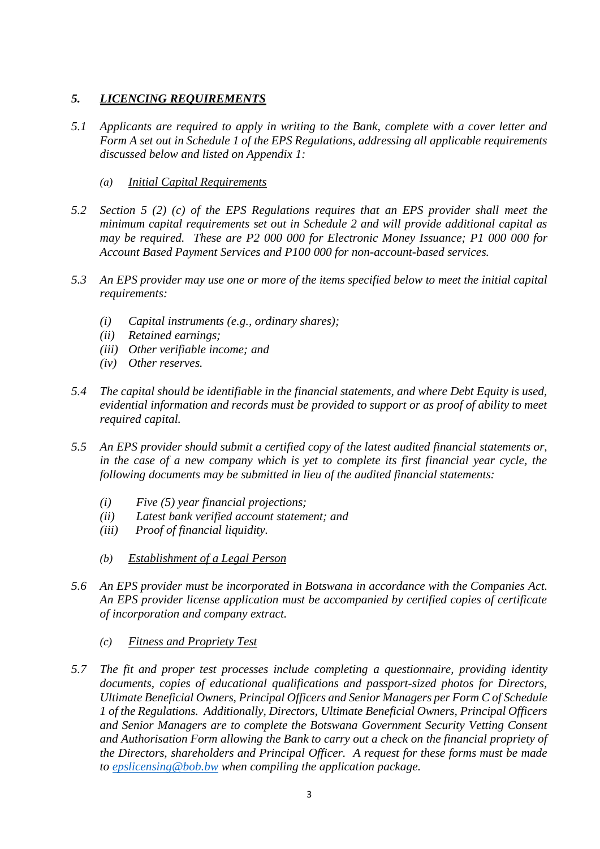### *5. LICENCING REQUIREMENTS*

- *5.1 Applicants are required to apply in writing to the Bank, complete with a cover letter and Form A set out in Schedule 1 of the EPS Regulations, addressing all applicable requirements discussed below and listed on Appendix 1:*
	- *(a) Initial Capital Requirements*
- *5.2 Section 5 (2) (c) of the EPS Regulations requires that an EPS provider shall meet the minimum capital requirements set out in Schedule 2 and will provide additional capital as may be required. These are P2 000 000 for Electronic Money Issuance; P1 000 000 for Account Based Payment Services and P100 000 for non-account-based services.*
- *5.3 An EPS provider may use one or more of the items specified below to meet the initial capital requirements:*
	- *(i) Capital instruments (e.g., ordinary shares);*
	- *(ii) Retained earnings;*
	- *(iii) Other verifiable income; and*
	- *(iv) Other reserves.*
- *5.4 The capital should be identifiable in the financial statements, and where Debt Equity is used, evidential information and records must be provided to support or as proof of ability to meet required capital.*
- *5.5 An EPS provider should submit a certified copy of the latest audited financial statements or,*  in the case of a new company which is yet to complete its first financial year cycle, the *following documents may be submitted in lieu of the audited financial statements:*
	- *(i) Five (5) year financial projections;*
	- *(ii) Latest bank verified account statement; and*
	- *(iii) Proof of financial liquidity.*
	- *(b) Establishment of a Legal Person*
- *5.6 An EPS provider must be incorporated in Botswana in accordance with the Companies Act. An EPS provider license application must be accompanied by certified copies of certificate of incorporation and company extract.*
	- *(c) Fitness and Propriety Test*
- *5.7 The fit and proper test processes include completing a questionnaire, providing identity documents, copies of educational qualifications and passport-sized photos for Directors, Ultimate Beneficial Owners, Principal Officers and Senior Managers per Form C of Schedule 1 of the Regulations. Additionally, Directors, Ultimate Beneficial Owners, Principal Officers and Senior Managers are to complete the Botswana Government Security Vetting Consent and Authorisation Form allowing the Bank to carry out a check on the financial propriety of the Directors, shareholders and Principal Officer. A request for these forms must be made to [epslicensing@bob.bw](mailto:epslicensing@bob.bw) when compiling the application package.*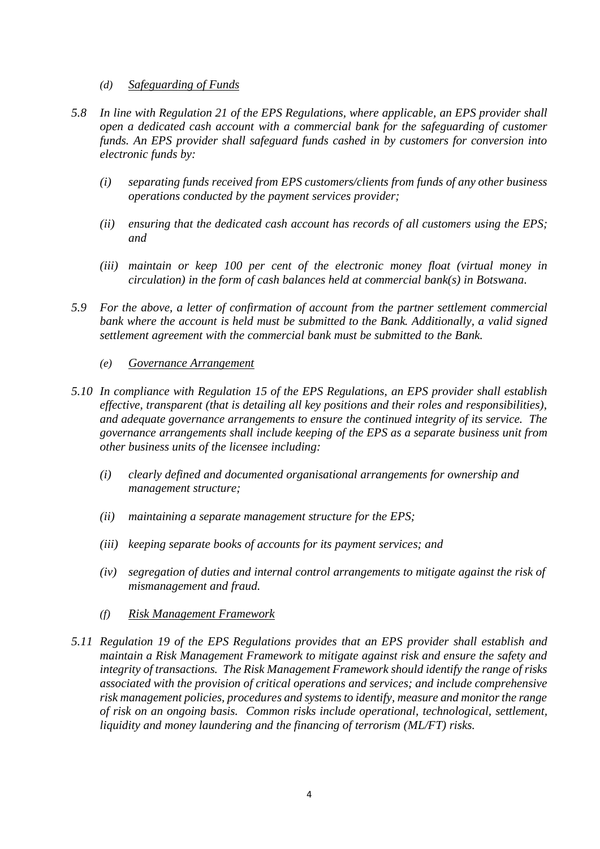- *(d) Safeguarding of Funds*
- *5.8 In line with Regulation 21 of the EPS Regulations, where applicable, an EPS provider shall open a dedicated cash account with a commercial bank for the safeguarding of customer funds. An EPS provider shall safeguard funds cashed in by customers for conversion into electronic funds by:*
	- *(i) separating funds received from EPS customers/clients from funds of any other business operations conducted by the payment services provider;*
	- *(ii) ensuring that the dedicated cash account has records of all customers using the EPS; and*
	- *(iii) maintain or keep 100 per cent of the electronic money float (virtual money in circulation) in the form of cash balances held at commercial bank(s) in Botswana.*
- *5.9 For the above, a letter of confirmation of account from the partner settlement commercial bank where the account is held must be submitted to the Bank. Additionally, a valid signed settlement agreement with the commercial bank must be submitted to the Bank.*
	- *(e) Governance Arrangement*
- *5.10 In compliance with Regulation 15 of the EPS Regulations, an EPS provider shall establish effective, transparent (that is detailing all key positions and their roles and responsibilities), and adequate governance arrangements to ensure the continued integrity of its service. The governance arrangements shall include keeping of the EPS as a separate business unit from other business units of the licensee including:*
	- *(i) clearly defined and documented organisational arrangements for ownership and management structure;*
	- *(ii) maintaining a separate management structure for the EPS;*
	- *(iii) keeping separate books of accounts for its payment services; and*
	- *(iv) segregation of duties and internal control arrangements to mitigate against the risk of mismanagement and fraud.*
	- *(f) Risk Management Framework*
- *5.11 Regulation 19 of the EPS Regulations provides that an EPS provider shall establish and maintain a Risk Management Framework to mitigate against risk and ensure the safety and integrity of transactions. The Risk Management Framework should identify the range of risks associated with the provision of critical operations and services; and include comprehensive risk management policies, procedures and systems to identify, measure and monitor the range of risk on an ongoing basis. Common risks include operational, technological, settlement, liquidity and money laundering and the financing of terrorism (ML/FT) risks.*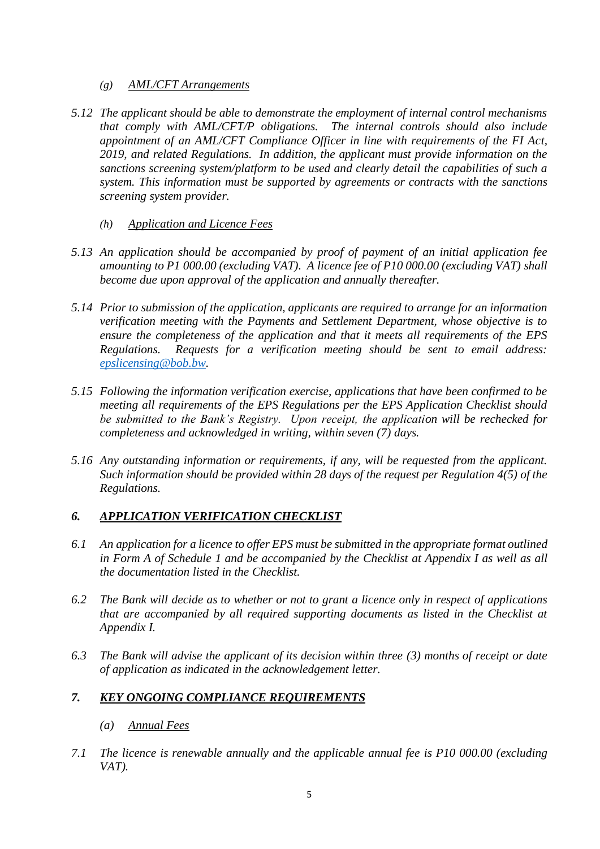#### *(g) AML/CFT Arrangements*

- *5.12 The applicant should be able to demonstrate the employment of internal control mechanisms that comply with AML/CFT/P obligations. The internal controls should also include appointment of an AML/CFT Compliance Officer in line with requirements of the FI Act, 2019, and related Regulations. In addition, the applicant must provide information on the sanctions screening system/platform to be used and clearly detail the capabilities of such a system. This information must be supported by agreements or contracts with the sanctions screening system provider.*
	- *(h) Application and Licence Fees*
- *5.13 An application should be accompanied by proof of payment of an initial application fee amounting to P1 000.00 (excluding VAT). A licence fee of P10 000.00 (excluding VAT) shall become due upon approval of the application and annually thereafter.*
- *5.14 Prior to submission of the application, applicants are required to arrange for an information verification meeting with the Payments and Settlement Department, whose objective is to ensure the completeness of the application and that it meets all requirements of the EPS Regulations. Requests for a verification meeting should be sent to email address: [epslicensing@bob.bw.](mailto:epslicensing@bob.bw)*
- *5.15 Following the information verification exercise, applications that have been confirmed to be meeting all requirements of the EPS Regulations per the EPS Application Checklist should be submitted to the Bank's Registry. Upon receipt, the application will be rechecked for completeness and acknowledged in writing, within seven (7) days.*
- *5.16 Any outstanding information or requirements, if any, will be requested from the applicant. Such information should be provided within 28 days of the request per Regulation 4(5) of the Regulations.*

### <span id="page-5-0"></span>*6. APPLICATION VERIFICATION CHECKLIST*

- *6.1 An application for a licence to offer EPS must be submitted in the appropriate format outlined in Form A of Schedule 1 and be accompanied by the Checklist at Appendix I as well as all the documentation listed in the Checklist.*
- *6.2 The Bank will decide as to whether or not to grant a licence only in respect of applications that are accompanied by all required supporting documents as listed in the Checklist at Appendix I.*
- *6.3 The Bank will advise the applicant of its decision within three (3) months of receipt or date of application as indicated in the acknowledgement letter.*

### <span id="page-5-1"></span>*7. KEY ONGOING COMPLIANCE REQUIREMENTS*

#### *(a) Annual Fees*

*7.1 The licence is renewable annually and the applicable annual fee is P10 000.00 (excluding VAT).*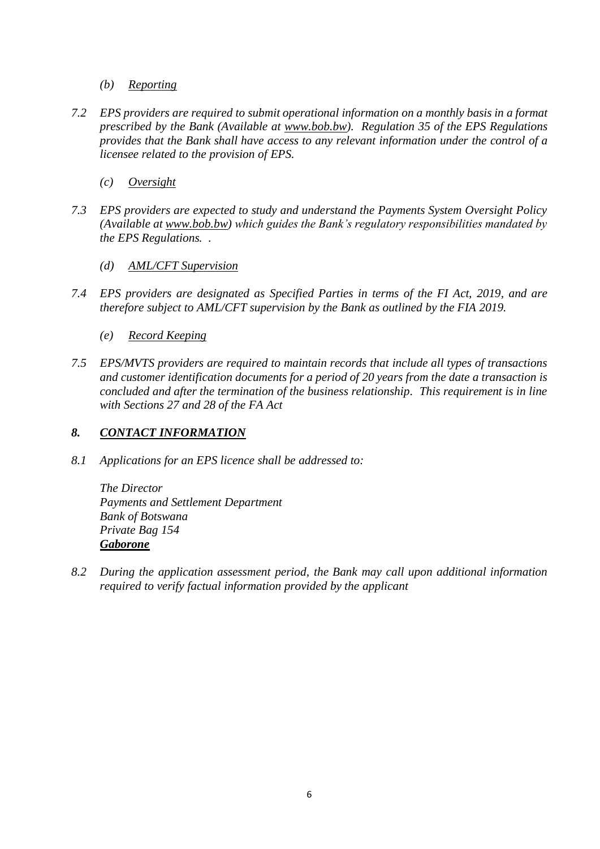- *(b) Reporting*
- *7.2 EPS providers are required to submit operational information on a monthly basis in a format prescribed by the Bank (Available at [www.bob.bw\)](http://www.bob.bw/). Regulation 35 of the EPS Regulations provides that the Bank shall have access to any relevant information under the control of a licensee related to the provision of EPS.* 
	- *(c) Oversight*
- *7.3 EPS providers are expected to study and understand the Payments System Oversight Policy (Available at [www.bob.bw\)](http://www.bob.bw/) which guides the Bank's regulatory responsibilities mandated by the EPS Regulations. .*
	- *(d) AML/CFT Supervision*
- *7.4 EPS providers are designated as Specified Parties in terms of the FI Act, 2019, and are therefore subject to AML/CFT supervision by the Bank as outlined by the FIA 2019.* 
	- *(e) Record Keeping*
- *7.5 EPS/MVTS providers are required to maintain records that include all types of transactions and customer identification documents for a period of 20 years from the date a transaction is concluded and after the termination of the business relationship. This requirement is in line with Sections 27 and 28 of the FA Act*

#### <span id="page-6-0"></span>*8. CONTACT INFORMATION*

*8.1 Applications for an EPS licence shall be addressed to:*

*The Director Payments and Settlement Department Bank of Botswana Private Bag 154 Gaborone*

*8.2 During the application assessment period, the Bank may call upon additional information required to verify factual information provided by the applicant*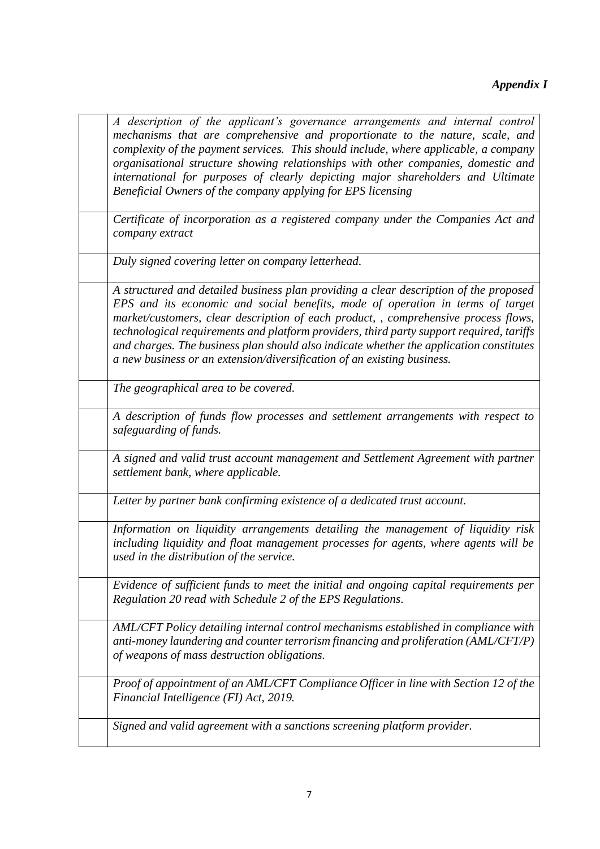# *Appendix I*

| A description of the applicant's governance arrangements and internal control<br>mechanisms that are comprehensive and proportionate to the nature, scale, and<br>complexity of the payment services. This should include, where applicable, a company<br>organisational structure showing relationships with other companies, domestic and<br>international for purposes of clearly depicting major shareholders and Ultimate<br>Beneficial Owners of the company applying for EPS licensing                                    |
|----------------------------------------------------------------------------------------------------------------------------------------------------------------------------------------------------------------------------------------------------------------------------------------------------------------------------------------------------------------------------------------------------------------------------------------------------------------------------------------------------------------------------------|
| Certificate of incorporation as a registered company under the Companies Act and<br>company extract                                                                                                                                                                                                                                                                                                                                                                                                                              |
| Duly signed covering letter on company letterhead.                                                                                                                                                                                                                                                                                                                                                                                                                                                                               |
| A structured and detailed business plan providing a clear description of the proposed<br>EPS and its economic and social benefits, mode of operation in terms of target<br>market/customers, clear description of each product, , comprehensive process flows,<br>technological requirements and platform providers, third party support required, tariffs<br>and charges. The business plan should also indicate whether the application constitutes<br>a new business or an extension/diversification of an existing business. |
| The geographical area to be covered.                                                                                                                                                                                                                                                                                                                                                                                                                                                                                             |
| A description of funds flow processes and settlement arrangements with respect to<br>safeguarding of funds.                                                                                                                                                                                                                                                                                                                                                                                                                      |
| A signed and valid trust account management and Settlement Agreement with partner<br>settlement bank, where applicable.                                                                                                                                                                                                                                                                                                                                                                                                          |
| Letter by partner bank confirming existence of a dedicated trust account.                                                                                                                                                                                                                                                                                                                                                                                                                                                        |
| Information on liquidity arrangements detailing the management of liquidity risk<br>including liquidity and float management processes for agents, where agents will be<br>used in the distribution of the service.                                                                                                                                                                                                                                                                                                              |
| Evidence of sufficient funds to meet the initial and ongoing capital requirements per<br>Regulation 20 read with Schedule 2 of the EPS Regulations.                                                                                                                                                                                                                                                                                                                                                                              |
| AML/CFT Policy detailing internal control mechanisms established in compliance with<br>anti-money laundering and counter terrorism financing and proliferation (AML/CFT/P)<br>of weapons of mass destruction obligations.                                                                                                                                                                                                                                                                                                        |
| Proof of appointment of an AML/CFT Compliance Officer in line with Section 12 of the<br>Financial Intelligence (FI) Act, 2019.                                                                                                                                                                                                                                                                                                                                                                                                   |
| Signed and valid agreement with a sanctions screening platform provider.                                                                                                                                                                                                                                                                                                                                                                                                                                                         |

<span id="page-7-0"></span> $\mathbf{r}$